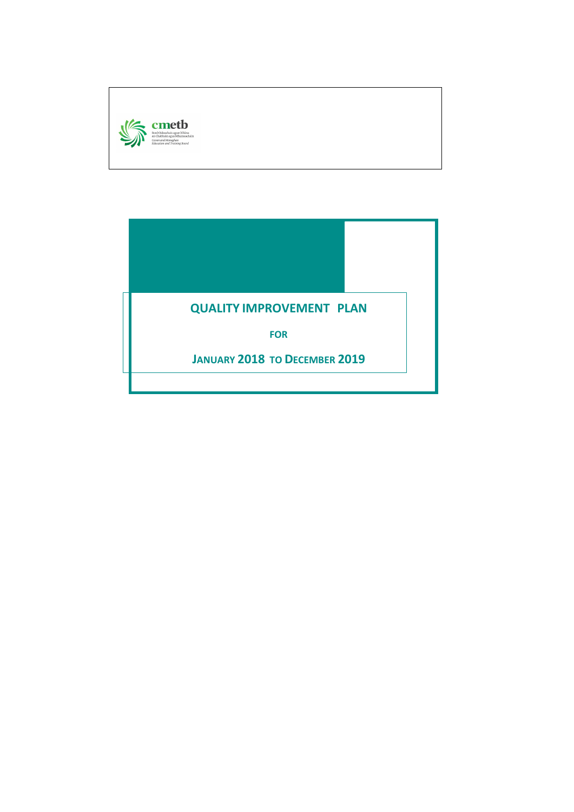

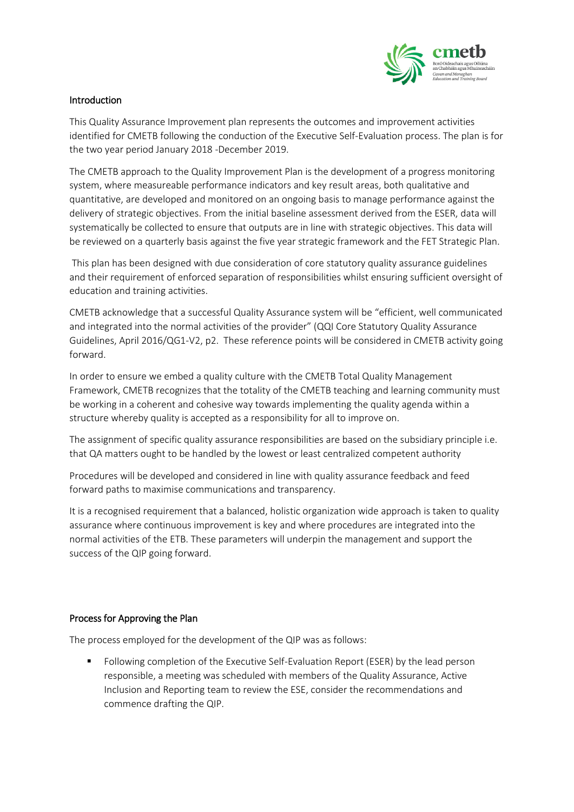

## Introduction

This Quality Assurance Improvement plan represents the outcomes and improvement activities identified for CMETB following the conduction of the Executive Self-Evaluation process. The plan is for the two year period January 2018 -December 2019.

The CMETB approach to the Quality Improvement Plan is the development of a progress monitoring system, where measureable performance indicators and key result areas, both qualitative and quantitative, are developed and monitored on an ongoing basis to manage performance against the delivery of strategic objectives. From the initial baseline assessment derived from the ESER, data will systematically be collected to ensure that outputs are in line with strategic objectives. This data will be reviewed on a quarterly basis against the five year strategic framework and the FET Strategic Plan.

This plan has been designed with due consideration of core statutory quality assurance guidelines and their requirement of enforced separation of responsibilities whilst ensuring sufficient oversight of education and training activities.

CMETB acknowledge that a successful Quality Assurance system will be "efficient, well communicated and integrated into the normal activities of the provider" (QQI Core Statutory Quality Assurance Guidelines, April 2016/QG1-V2, p2. These reference points will be considered in CMETB activity going forward.

In order to ensure we embed a quality culture with the CMETB Total Quality Management Framework, CMETB recognizes that the totality of the CMETB teaching and learning community must be working in a coherent and cohesive way towards implementing the quality agenda within a structure whereby quality is accepted as a responsibility for all to improve on.

The assignment of specific quality assurance responsibilities are based on the subsidiary principle i.e. that QA matters ought to be handled by the lowest or least centralized competent authority

Procedures will be developed and considered in line with quality assurance feedback and feed forward paths to maximise communications and transparency.

It is a recognised requirement that a balanced, holistic organization wide approach is taken to quality assurance where continuous improvement is key and where procedures are integrated into the normal activities of the ETB. These parameters will underpin the management and support the success of the QIP going forward.

## Process for Approving the Plan

The process employed for the development of the QIP was as follows:

 Following completion of the Executive Self-Evaluation Report (ESER) by the lead person responsible, a meeting was scheduled with members of the Quality Assurance, Active Inclusion and Reporting team to review the ESE, consider the recommendations and commence drafting the QIP.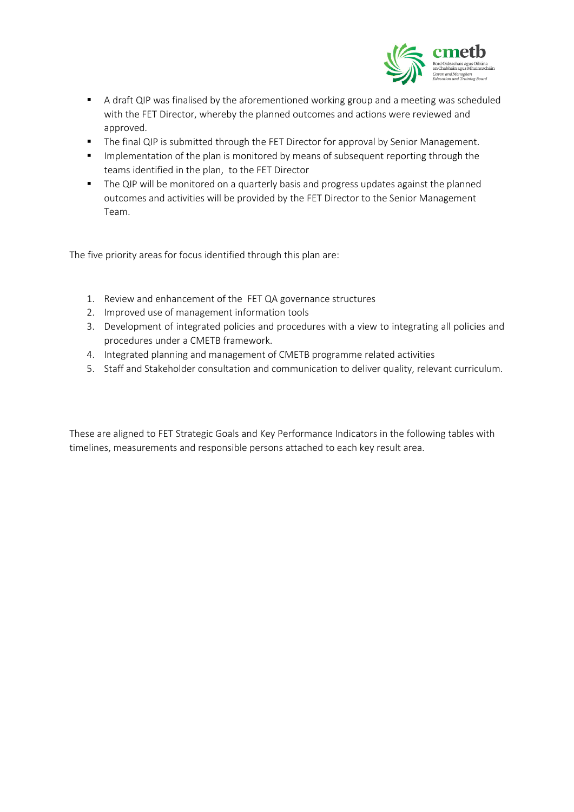

- A draft QIP was finalised by the aforementioned working group and a meeting was scheduled with the FET Director, whereby the planned outcomes and actions were reviewed and approved.
- **The final QIP is submitted through the FET Director for approval by Senior Management.**
- **IMPLEM** Implementation of the plan is monitored by means of subsequent reporting through the teams identified in the plan, to the FET Director
- **The QIP will be monitored on a quarterly basis and progress updates against the planned** outcomes and activities will be provided by the FET Director to the Senior Management Team.

The five priority areas for focus identified through this plan are:

- 1. Review and enhancement of the FET QA governance structures
- 2. Improved use of management information tools
- 3. Development of integrated policies and procedures with a view to integrating all policies and procedures under a CMETB framework.
- 4. Integrated planning and management of CMETB programme related activities
- 5. Staff and Stakeholder consultation and communication to deliver quality, relevant curriculum.

These are aligned to FET Strategic Goals and Key Performance Indicators in the following tables with timelines, measurements and responsible persons attached to each key result area.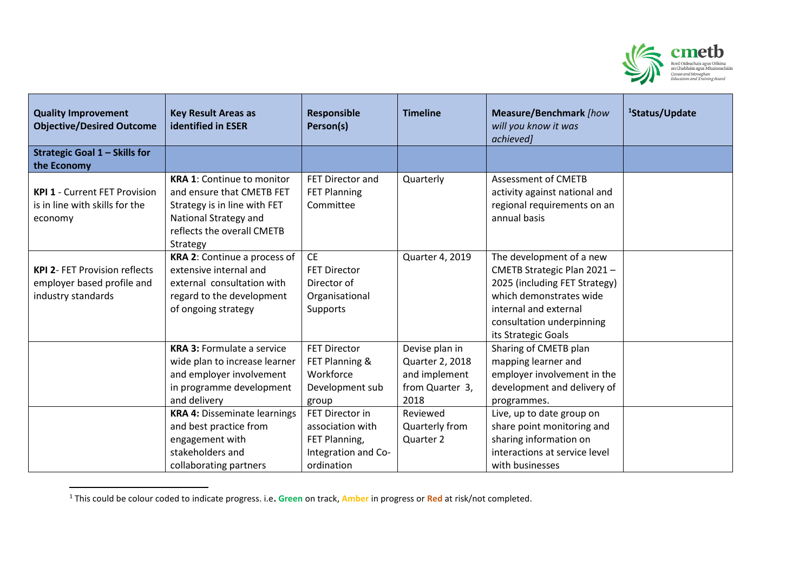

| <b>Quality Improvement</b><br><b>Objective/Desired Outcome</b> | <b>Key Result Areas as</b><br><b>identified in ESER</b> | <b>Responsible</b><br>Person(s) | <b>Timeline</b> | Measure/Benchmark [how<br>will you know it was<br>achieved] | <sup>1</sup> Status/Update |
|----------------------------------------------------------------|---------------------------------------------------------|---------------------------------|-----------------|-------------------------------------------------------------|----------------------------|
| Strategic Goal 1 - Skills for                                  |                                                         |                                 |                 |                                                             |                            |
| the Economy                                                    |                                                         |                                 |                 |                                                             |                            |
|                                                                | <b>KRA 1: Continue to monitor</b>                       | FET Director and                | Quarterly       | <b>Assessment of CMETB</b>                                  |                            |
| <b>KPI 1 - Current FET Provision</b>                           | and ensure that CMETB FET                               | <b>FET Planning</b>             |                 | activity against national and                               |                            |
| is in line with skills for the                                 | Strategy is in line with FET                            | Committee                       |                 | regional requirements on an                                 |                            |
| economy                                                        | National Strategy and                                   |                                 |                 | annual basis                                                |                            |
|                                                                | reflects the overall CMETB                              |                                 |                 |                                                             |                            |
|                                                                | Strategy                                                |                                 |                 |                                                             |                            |
|                                                                | KRA 2: Continue a process of                            | <b>CE</b>                       | Quarter 4, 2019 | The development of a new                                    |                            |
| <b>KPI 2- FET Provision reflects</b>                           | extensive internal and                                  | <b>FET Director</b>             |                 | CMETB Strategic Plan 2021-                                  |                            |
| employer based profile and                                     | external consultation with                              | Director of                     |                 | 2025 (including FET Strategy)                               |                            |
| industry standards                                             | regard to the development                               | Organisational                  |                 | which demonstrates wide                                     |                            |
|                                                                | of ongoing strategy                                     | Supports                        |                 | internal and external                                       |                            |
|                                                                |                                                         |                                 |                 | consultation underpinning                                   |                            |
|                                                                |                                                         |                                 |                 | its Strategic Goals                                         |                            |
|                                                                | <b>KRA 3: Formulate a service</b>                       | <b>FET Director</b>             | Devise plan in  | Sharing of CMETB plan                                       |                            |
|                                                                | wide plan to increase learner                           | FET Planning &                  | Quarter 2, 2018 | mapping learner and                                         |                            |
|                                                                | and employer involvement                                | Workforce                       | and implement   | employer involvement in the                                 |                            |
|                                                                | in programme development                                | Development sub                 | from Quarter 3, | development and delivery of                                 |                            |
|                                                                | and delivery                                            | group                           | 2018            | programmes.                                                 |                            |
|                                                                | <b>KRA 4: Disseminate learnings</b>                     | FET Director in                 | Reviewed        | Live, up to date group on                                   |                            |
|                                                                | and best practice from                                  | association with                | Quarterly from  | share point monitoring and                                  |                            |
|                                                                | engagement with                                         | FET Planning,                   | Quarter 2       | sharing information on                                      |                            |
|                                                                | stakeholders and                                        | Integration and Co-             |                 | interactions at service level                               |                            |
|                                                                | collaborating partners                                  | ordination                      |                 | with businesses                                             |                            |

<sup>1</sup> This could be colour coded to indicate progress. i.e**. Green** on track, **Amber** in progress or **Red** at risk/not completed.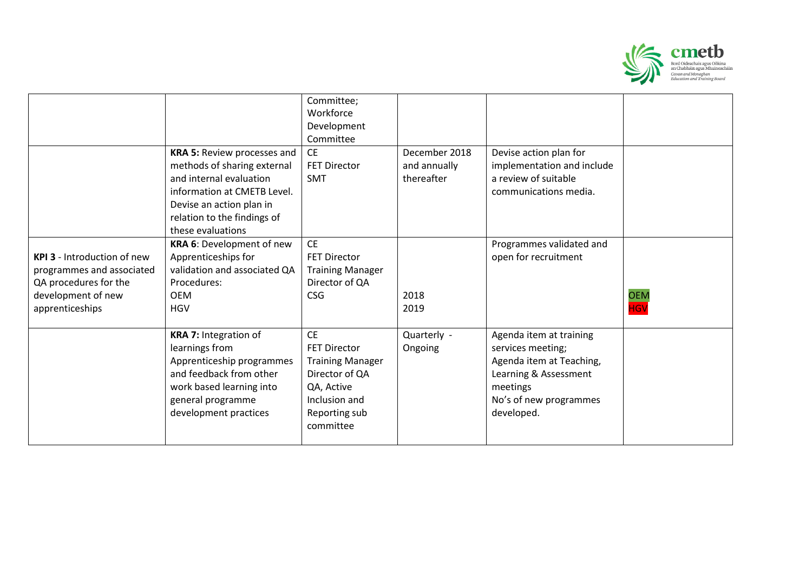

|                                    |                              | Committee;<br>Workforce |               |                            |            |
|------------------------------------|------------------------------|-------------------------|---------------|----------------------------|------------|
|                                    |                              | Development             |               |                            |            |
|                                    |                              | Committee               |               |                            |            |
|                                    | KRA 5: Review processes and  | <b>CE</b>               | December 2018 | Devise action plan for     |            |
|                                    | methods of sharing external  | <b>FET Director</b>     | and annually  | implementation and include |            |
|                                    | and internal evaluation      | <b>SMT</b>              | thereafter    | a review of suitable       |            |
|                                    | information at CMETB Level.  |                         |               | communications media.      |            |
|                                    | Devise an action plan in     |                         |               |                            |            |
|                                    | relation to the findings of  |                         |               |                            |            |
|                                    | these evaluations            |                         |               |                            |            |
|                                    | KRA 6: Development of new    | <b>CE</b>               |               | Programmes validated and   |            |
| <b>KPI 3</b> - Introduction of new | Apprenticeships for          | <b>FET Director</b>     |               | open for recruitment       |            |
| programmes and associated          | validation and associated QA | <b>Training Manager</b> |               |                            |            |
| QA procedures for the              | Procedures:                  | Director of QA          |               |                            |            |
| development of new                 | <b>OEM</b>                   | <b>CSG</b>              | 2018          |                            | <b>OEM</b> |
| apprenticeships                    | <b>HGV</b>                   |                         | 2019          |                            | <b>HGV</b> |
|                                    |                              |                         |               |                            |            |
|                                    | KRA 7: Integration of        | <b>CE</b>               | Quarterly -   | Agenda item at training    |            |
|                                    | learnings from               | <b>FET Director</b>     | Ongoing       | services meeting;          |            |
|                                    | Apprenticeship programmes    | <b>Training Manager</b> |               | Agenda item at Teaching,   |            |
|                                    | and feedback from other      | Director of QA          |               | Learning & Assessment      |            |
|                                    | work based learning into     | QA, Active              |               | meetings                   |            |
|                                    | general programme            | Inclusion and           |               | No's of new programmes     |            |
|                                    | development practices        | Reporting sub           |               | developed.                 |            |
|                                    |                              | committee               |               |                            |            |
|                                    |                              |                         |               |                            |            |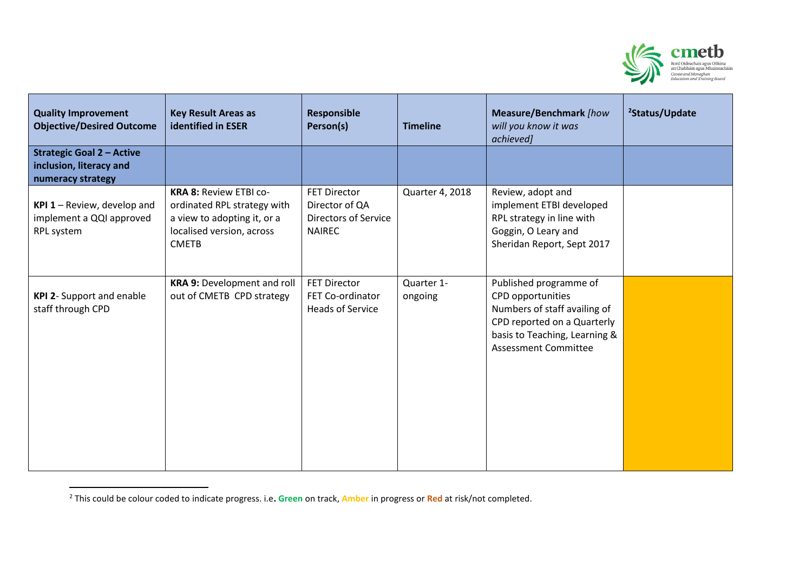

| <b>Quality Improvement</b><br><b>Objective/Desired Outcome</b>                   | <b>Key Result Areas as</b><br><b>identified in ESER</b>                                                                                  | <b>Responsible</b><br>Person(s)                                                | <b>Timeline</b>       | Measure/Benchmark [how<br>will you know it was<br>achieved]                                                                                                                | <sup>2</sup> Status/Update |
|----------------------------------------------------------------------------------|------------------------------------------------------------------------------------------------------------------------------------------|--------------------------------------------------------------------------------|-----------------------|----------------------------------------------------------------------------------------------------------------------------------------------------------------------------|----------------------------|
| <b>Strategic Goal 2 - Active</b><br>inclusion, literacy and<br>numeracy strategy |                                                                                                                                          |                                                                                |                       |                                                                                                                                                                            |                            |
| KPI $1$ – Review, develop and<br>implement a QQI approved<br>RPL system          | <b>KRA 8: Review ETBI co-</b><br>ordinated RPL strategy with<br>a view to adopting it, or a<br>localised version, across<br><b>CMETB</b> | <b>FET Director</b><br>Director of QA<br>Directors of Service<br><b>NAIREC</b> | Quarter 4, 2018       | Review, adopt and<br>implement ETBI developed<br>RPL strategy in line with<br>Goggin, O Leary and<br>Sheridan Report, Sept 2017                                            |                            |
| <b>KPI 2- Support and enable</b><br>staff through CPD                            | <b>KRA 9: Development and roll</b><br>out of CMETB CPD strategy                                                                          | <b>FET Director</b><br>FET Co-ordinator<br><b>Heads of Service</b>             | Quarter 1-<br>ongoing | Published programme of<br>CPD opportunities<br>Numbers of staff availing of<br>CPD reported on a Quarterly<br>basis to Teaching, Learning &<br><b>Assessment Committee</b> |                            |

<sup>2</sup> This could be colour coded to indicate progress. i.e**. Green** on track, **Amber** in progress or **Red** at risk/not completed.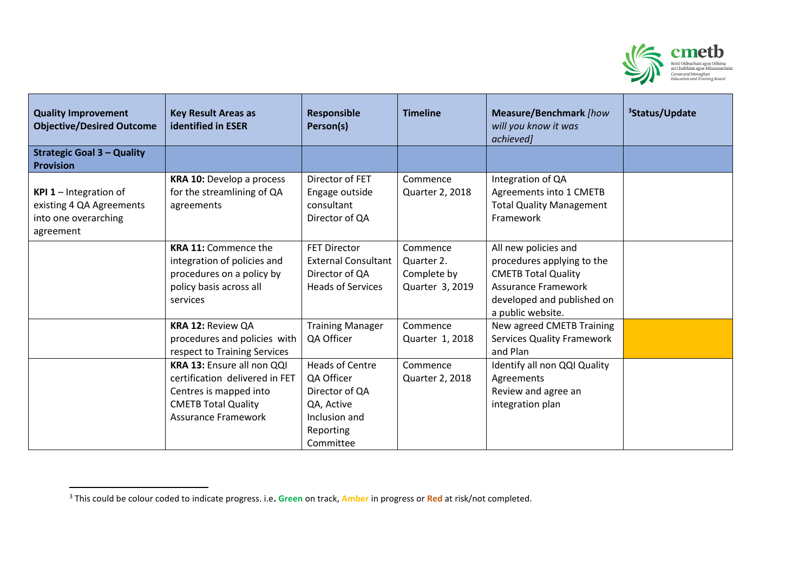

| <b>Quality Improvement</b><br><b>Objective/Desired Outcome</b>                                 | <b>Key Result Areas as</b><br><b>identified in ESER</b>                                                                                            | <b>Responsible</b><br>Person(s)                                                                                 | <b>Timeline</b>                                          | <b>Measure/Benchmark</b> [how<br>will you know it was<br>achieved]                                                                                                | <sup>3</sup> Status/Update |
|------------------------------------------------------------------------------------------------|----------------------------------------------------------------------------------------------------------------------------------------------------|-----------------------------------------------------------------------------------------------------------------|----------------------------------------------------------|-------------------------------------------------------------------------------------------------------------------------------------------------------------------|----------------------------|
| <b>Strategic Goal 3 - Quality</b><br><b>Provision</b>                                          |                                                                                                                                                    |                                                                                                                 |                                                          |                                                                                                                                                                   |                            |
| <b>KPI 1</b> - Integration of<br>existing 4 QA Agreements<br>into one overarching<br>agreement | KRA 10: Develop a process<br>for the streamlining of QA<br>agreements                                                                              | Director of FET<br>Engage outside<br>consultant<br>Director of QA                                               | Commence<br>Quarter 2, 2018                              | Integration of QA<br>Agreements into 1 CMETB<br><b>Total Quality Management</b><br>Framework                                                                      |                            |
|                                                                                                | <b>KRA 11: Commence the</b><br>integration of policies and<br>procedures on a policy by<br>policy basis across all<br>services                     | <b>FET Director</b><br><b>External Consultant</b><br>Director of QA<br><b>Heads of Services</b>                 | Commence<br>Quarter 2.<br>Complete by<br>Quarter 3, 2019 | All new policies and<br>procedures applying to the<br><b>CMETB Total Quality</b><br><b>Assurance Framework</b><br>developed and published on<br>a public website. |                            |
|                                                                                                | <b>KRA 12: Review QA</b><br>procedures and policies with<br>respect to Training Services                                                           | <b>Training Manager</b><br>QA Officer                                                                           | Commence<br>Quarter 1, 2018                              | New agreed CMETB Training<br><b>Services Quality Framework</b><br>and Plan                                                                                        |                            |
|                                                                                                | KRA 13: Ensure all non QQI<br>certification delivered in FET<br>Centres is mapped into<br><b>CMETB Total Quality</b><br><b>Assurance Framework</b> | <b>Heads of Centre</b><br>QA Officer<br>Director of QA<br>QA, Active<br>Inclusion and<br>Reporting<br>Committee | Commence<br>Quarter 2, 2018                              | Identify all non QQI Quality<br>Agreements<br>Review and agree an<br>integration plan                                                                             |                            |

<sup>3</sup> This could be colour coded to indicate progress. i.e**. Green** on track, **Amber** in progress or **Red** at risk/not completed.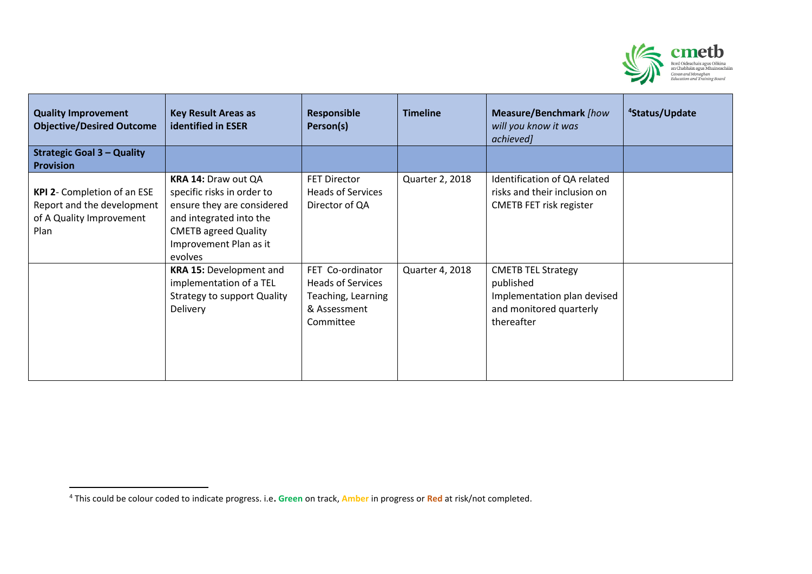

| <b>Quality Improvement</b><br><b>Objective/Desired Outcome</b>                                | <b>Key Result Areas as</b><br><b>identified in ESER</b>                                                                                                                        | <b>Responsible</b><br>Person(s)                                                                 | <b>Timeline</b> | <b>Measure/Benchmark</b> [how<br>will you know it was<br>achieved]                                             | <sup>4</sup> Status/Update |
|-----------------------------------------------------------------------------------------------|--------------------------------------------------------------------------------------------------------------------------------------------------------------------------------|-------------------------------------------------------------------------------------------------|-----------------|----------------------------------------------------------------------------------------------------------------|----------------------------|
| <b>Strategic Goal 3 - Quality</b><br><b>Provision</b>                                         |                                                                                                                                                                                |                                                                                                 |                 |                                                                                                                |                            |
| KPI 2- Completion of an ESE<br>Report and the development<br>of A Quality Improvement<br>Plan | KRA 14: Draw out QA<br>specific risks in order to<br>ensure they are considered<br>and integrated into the<br><b>CMETB agreed Quality</b><br>Improvement Plan as it<br>evolves | <b>FET Director</b><br><b>Heads of Services</b><br>Director of QA                               | Quarter 2, 2018 | Identification of QA related<br>risks and their inclusion on<br><b>CMETB FET risk register</b>                 |                            |
|                                                                                               | <b>KRA 15: Development and</b><br>implementation of a TEL<br><b>Strategy to support Quality</b><br>Delivery                                                                    | FET Co-ordinator<br><b>Heads of Services</b><br>Teaching, Learning<br>& Assessment<br>Committee | Quarter 4, 2018 | <b>CMETB TEL Strategy</b><br>published<br>Implementation plan devised<br>and monitored quarterly<br>thereafter |                            |

<sup>4</sup> This could be colour coded to indicate progress. i.e**. Green** on track, **Amber** in progress or **Red** at risk/not completed.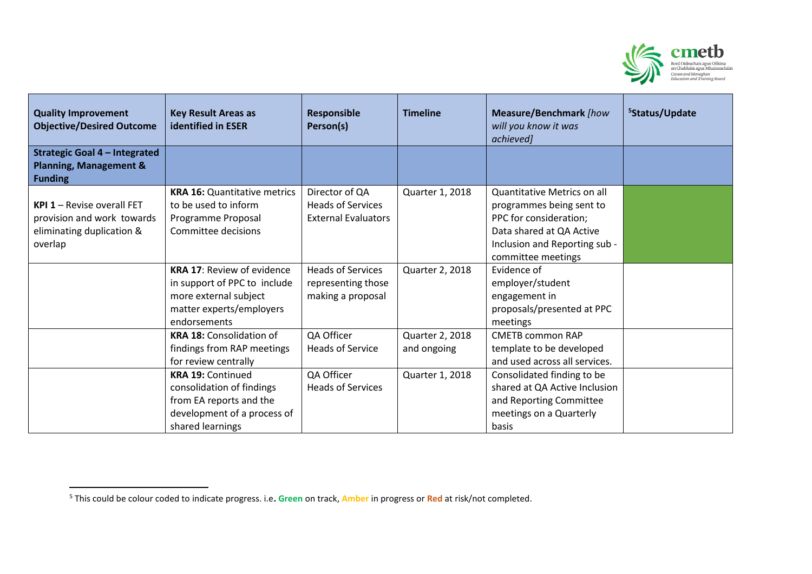

| <b>Quality Improvement</b><br><b>Objective/Desired Outcome</b>                              | <b>Key Result Areas as</b><br><b>identified in ESER</b> | <b>Responsible</b><br>Person(s) | <b>Timeline</b> | <b>Measure/Benchmark</b> [how<br>will you know it was<br>achieved] | <sup>5</sup> Status/Update |
|---------------------------------------------------------------------------------------------|---------------------------------------------------------|---------------------------------|-----------------|--------------------------------------------------------------------|----------------------------|
| <b>Strategic Goal 4 - Integrated</b><br><b>Planning, Management &amp;</b><br><b>Funding</b> |                                                         |                                 |                 |                                                                    |                            |
|                                                                                             | <b>KRA 16: Quantitative metrics</b>                     | Director of QA                  | Quarter 1, 2018 | Quantitative Metrics on all                                        |                            |
| <b>KPI 1 - Revise overall FET</b>                                                           | to be used to inform                                    | <b>Heads of Services</b>        |                 | programmes being sent to                                           |                            |
| provision and work towards                                                                  | Programme Proposal                                      | <b>External Evaluators</b>      |                 | PPC for consideration;                                             |                            |
| eliminating duplication &                                                                   | Committee decisions                                     |                                 |                 | Data shared at QA Active                                           |                            |
| overlap                                                                                     |                                                         |                                 |                 | Inclusion and Reporting sub -                                      |                            |
|                                                                                             |                                                         |                                 |                 | committee meetings                                                 |                            |
|                                                                                             | <b>KRA 17: Review of evidence</b>                       | <b>Heads of Services</b>        | Quarter 2, 2018 | Evidence of                                                        |                            |
|                                                                                             | in support of PPC to include                            | representing those              |                 | employer/student                                                   |                            |
|                                                                                             | more external subject                                   | making a proposal               |                 | engagement in                                                      |                            |
|                                                                                             | matter experts/employers                                |                                 |                 | proposals/presented at PPC                                         |                            |
|                                                                                             | endorsements                                            |                                 |                 | meetings                                                           |                            |
|                                                                                             | <b>KRA 18: Consolidation of</b>                         | QA Officer                      | Quarter 2, 2018 | <b>CMETB common RAP</b>                                            |                            |
|                                                                                             | findings from RAP meetings                              | <b>Heads of Service</b>         | and ongoing     | template to be developed                                           |                            |
|                                                                                             | for review centrally                                    |                                 |                 | and used across all services.                                      |                            |
|                                                                                             | <b>KRA 19: Continued</b>                                | QA Officer                      | Quarter 1, 2018 | Consolidated finding to be                                         |                            |
|                                                                                             | consolidation of findings                               | <b>Heads of Services</b>        |                 | shared at QA Active Inclusion                                      |                            |
|                                                                                             | from EA reports and the                                 |                                 |                 | and Reporting Committee                                            |                            |
|                                                                                             | development of a process of                             |                                 |                 | meetings on a Quarterly                                            |                            |
|                                                                                             | shared learnings                                        |                                 |                 | basis                                                              |                            |

<sup>5</sup> This could be colour coded to indicate progress. i.e**. Green** on track, **Amber** in progress or **Red** at risk/not completed.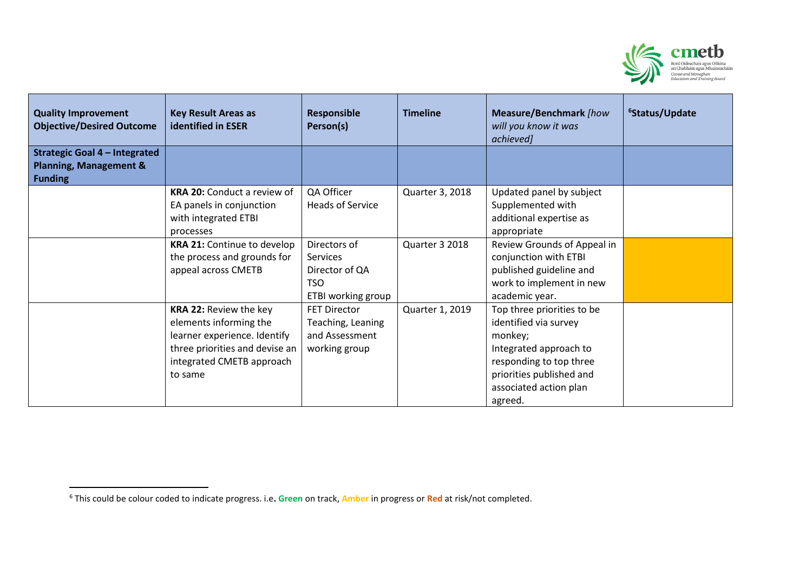

| <b>Quality Improvement</b><br><b>Objective/Desired Outcome</b>                              | <b>Key Result Areas as</b><br><b>identified in ESER</b>                                                                                                           | <b>Responsible</b><br>Person(s)                                                | <b>Timeline</b> | <b>Measure/Benchmark</b> [how<br>will you know it was<br>achieved]                                                                                                                   | <sup>6</sup> Status/Update |
|---------------------------------------------------------------------------------------------|-------------------------------------------------------------------------------------------------------------------------------------------------------------------|--------------------------------------------------------------------------------|-----------------|--------------------------------------------------------------------------------------------------------------------------------------------------------------------------------------|----------------------------|
| <b>Strategic Goal 4 - Integrated</b><br><b>Planning, Management &amp;</b><br><b>Funding</b> |                                                                                                                                                                   |                                                                                |                 |                                                                                                                                                                                      |                            |
|                                                                                             | <b>KRA 20: Conduct a review of</b><br>EA panels in conjunction<br>with integrated ETBI<br>processes                                                               | QA Officer<br><b>Heads of Service</b>                                          | Quarter 3, 2018 | Updated panel by subject<br>Supplemented with<br>additional expertise as<br>appropriate                                                                                              |                            |
|                                                                                             | <b>KRA 21: Continue to develop</b><br>the process and grounds for<br>appeal across CMETB                                                                          | Directors of<br>Services<br>Director of QA<br><b>TSO</b><br>ETBI working group | Quarter 3 2018  | Review Grounds of Appeal in<br>conjunction with ETBI<br>published guideline and<br>work to implement in new<br>academic year.                                                        |                            |
|                                                                                             | <b>KRA 22: Review the key</b><br>elements informing the<br>learner experience. Identify<br>three priorities and devise an<br>integrated CMETB approach<br>to same | <b>FET Director</b><br>Teaching, Leaning<br>and Assessment<br>working group    | Quarter 1, 2019 | Top three priorities to be<br>identified via survey<br>monkey;<br>Integrated approach to<br>responding to top three<br>priorities published and<br>associated action plan<br>agreed. |                            |

<sup>6</sup> This could be colour coded to indicate progress. i.e**. Green** on track, **Amber** in progress or **Red** at risk/not completed.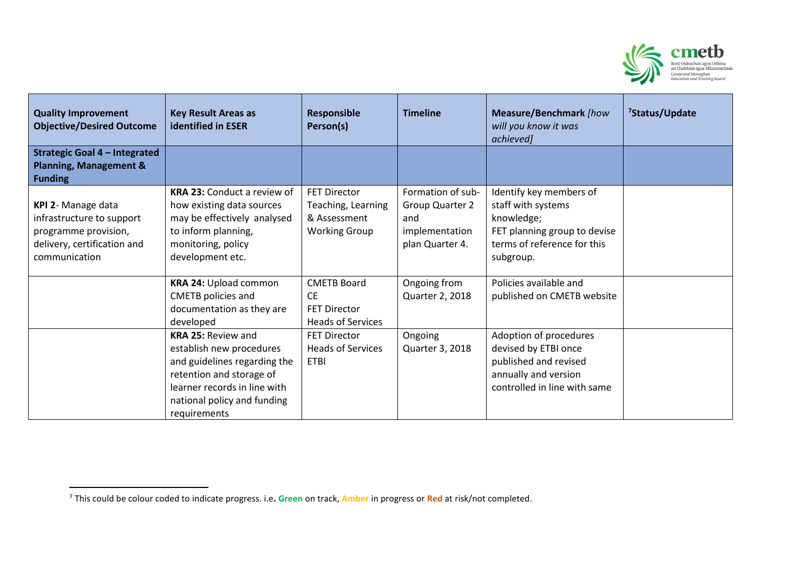

| <b>Quality Improvement</b><br><b>Objective/Desired Outcome</b>                                                          | <b>Key Result Areas as</b><br><b>identified in ESER</b>                                                                                                                                          | <b>Responsible</b><br>Person(s)                                                    | <b>Timeline</b>                                                                  | Measure/Benchmark [how<br>will you know it was<br>achieved]                                                                             | <sup>7</sup> Status/Update |
|-------------------------------------------------------------------------------------------------------------------------|--------------------------------------------------------------------------------------------------------------------------------------------------------------------------------------------------|------------------------------------------------------------------------------------|----------------------------------------------------------------------------------|-----------------------------------------------------------------------------------------------------------------------------------------|----------------------------|
| <b>Strategic Goal 4 - Integrated</b><br><b>Planning, Management &amp;</b>                                               |                                                                                                                                                                                                  |                                                                                    |                                                                                  |                                                                                                                                         |                            |
| <b>Funding</b>                                                                                                          |                                                                                                                                                                                                  |                                                                                    |                                                                                  |                                                                                                                                         |                            |
| KPI 2- Manage data<br>infrastructure to support<br>programme provision,<br>delivery, certification and<br>communication | <b>KRA 23: Conduct a review of</b><br>how existing data sources<br>may be effectively analysed<br>to inform planning,<br>monitoring, policy<br>development etc.                                  | <b>FET Director</b><br>Teaching, Learning<br>& Assessment<br><b>Working Group</b>  | Formation of sub-<br>Group Quarter 2<br>and<br>implementation<br>plan Quarter 4. | Identify key members of<br>staff with systems<br>knowledge;<br>FET planning group to devise<br>terms of reference for this<br>subgroup. |                            |
|                                                                                                                         | KRA 24: Upload common<br>CMETB policies and<br>documentation as they are<br>developed                                                                                                            | <b>CMETB Board</b><br><b>CE</b><br><b>FET Director</b><br><b>Heads of Services</b> | Ongoing from<br>Quarter 2, 2018                                                  | Policies available and<br>published on CMETB website                                                                                    |                            |
|                                                                                                                         | <b>KRA 25: Review and</b><br>establish new procedures<br>and guidelines regarding the<br>retention and storage of<br>learner records in line with<br>national policy and funding<br>requirements | <b>FET Director</b><br><b>Heads of Services</b><br><b>ETBI</b>                     | Ongoing<br>Quarter 3, 2018                                                       | Adoption of procedures<br>devised by ETBI once<br>published and revised<br>annually and version<br>controlled in line with same         |                            |

<sup>7</sup> This could be colour coded to indicate progress. i.e**. Green** on track, **Amber** in progress or **Red** at risk/not completed.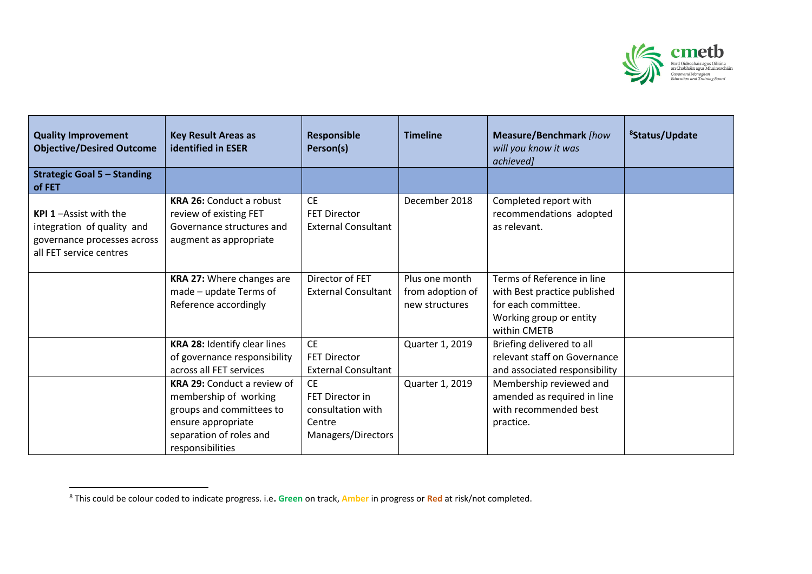

| <b>Quality Improvement</b><br><b>Objective/Desired Outcome</b>                                                       | <b>Key Result Areas as</b><br><b>identified in ESER</b>                                                                                                      | <b>Responsible</b><br>Person(s)                                                   | <b>Timeline</b>                                      | <b>Measure/Benchmark</b> [how<br>will you know it was<br>achieved]                                                           | <sup>8</sup> Status/Update |
|----------------------------------------------------------------------------------------------------------------------|--------------------------------------------------------------------------------------------------------------------------------------------------------------|-----------------------------------------------------------------------------------|------------------------------------------------------|------------------------------------------------------------------------------------------------------------------------------|----------------------------|
| <b>Strategic Goal 5 - Standing</b><br>of FET                                                                         |                                                                                                                                                              |                                                                                   |                                                      |                                                                                                                              |                            |
| <b>KPI 1-Assist with the</b><br>integration of quality and<br>governance processes across<br>all FET service centres | <b>KRA 26: Conduct a robust</b><br>review of existing FET<br>Governance structures and<br>augment as appropriate                                             | <b>CE</b><br><b>FET Director</b><br><b>External Consultant</b>                    | December 2018                                        | Completed report with<br>recommendations adopted<br>as relevant.                                                             |                            |
|                                                                                                                      | KRA 27: Where changes are<br>made - update Terms of<br>Reference accordingly                                                                                 | Director of FET<br><b>External Consultant</b>                                     | Plus one month<br>from adoption of<br>new structures | Terms of Reference in line<br>with Best practice published<br>for each committee.<br>Working group or entity<br>within CMETB |                            |
|                                                                                                                      | KRA 28: Identify clear lines<br>of governance responsibility<br>across all FET services                                                                      | <b>CE</b><br><b>FET Director</b><br><b>External Consultant</b>                    | Quarter 1, 2019                                      | Briefing delivered to all<br>relevant staff on Governance<br>and associated responsibility                                   |                            |
|                                                                                                                      | <b>KRA 29: Conduct a review of</b><br>membership of working<br>groups and committees to<br>ensure appropriate<br>separation of roles and<br>responsibilities | <b>CE</b><br>FET Director in<br>consultation with<br>Centre<br>Managers/Directors | Quarter 1, 2019                                      | Membership reviewed and<br>amended as required in line<br>with recommended best<br>practice.                                 |                            |

<sup>8</sup> This could be colour coded to indicate progress. i.e**. Green** on track, **Amber** in progress or **Red** at risk/not completed.